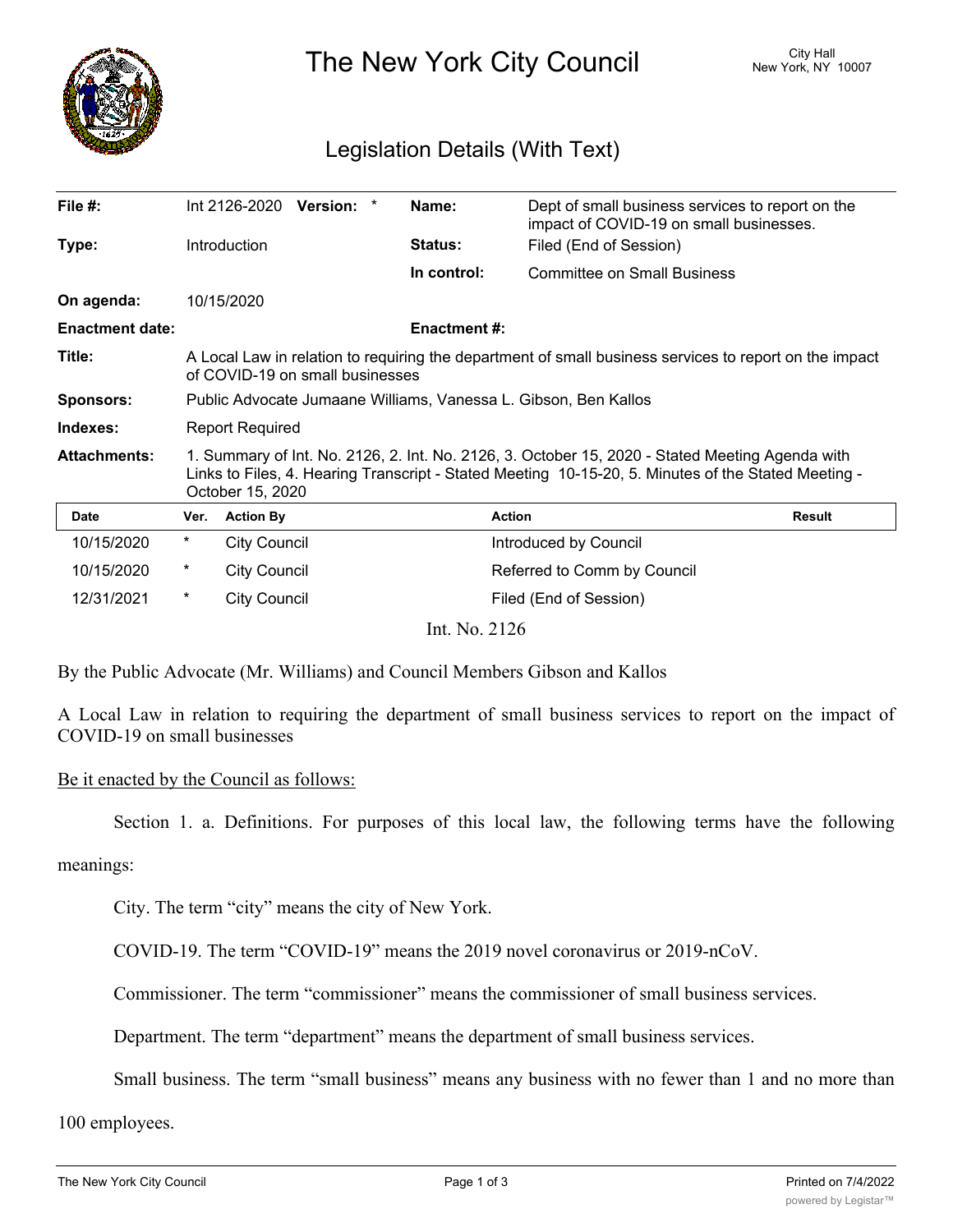

The New York City Council New York, NY 10007

## Legislation Details (With Text)

| File #:                |                                                                                                                                                                                                                            | Int 2126-2020 Version: * |  |  | Name:               | Dept of small business services to report on the<br>impact of COVID-19 on small businesses. |               |
|------------------------|----------------------------------------------------------------------------------------------------------------------------------------------------------------------------------------------------------------------------|--------------------------|--|--|---------------------|---------------------------------------------------------------------------------------------|---------------|
| Type:                  |                                                                                                                                                                                                                            | <b>Introduction</b>      |  |  | <b>Status:</b>      | Filed (End of Session)                                                                      |               |
|                        |                                                                                                                                                                                                                            |                          |  |  | In control:         | <b>Committee on Small Business</b>                                                          |               |
| On agenda:             |                                                                                                                                                                                                                            | 10/15/2020               |  |  |                     |                                                                                             |               |
| <b>Enactment date:</b> |                                                                                                                                                                                                                            |                          |  |  | <b>Enactment #:</b> |                                                                                             |               |
| Title:                 | A Local Law in relation to requiring the department of small business services to report on the impact<br>of COVID-19 on small businesses                                                                                  |                          |  |  |                     |                                                                                             |               |
| <b>Sponsors:</b>       | Public Advocate Jumaane Williams, Vanessa L. Gibson, Ben Kallos                                                                                                                                                            |                          |  |  |                     |                                                                                             |               |
| Indexes:               | <b>Report Required</b>                                                                                                                                                                                                     |                          |  |  |                     |                                                                                             |               |
| <b>Attachments:</b>    | 1. Summary of Int. No. 2126, 2. Int. No. 2126, 3. October 15, 2020 - Stated Meeting Agenda with<br>Links to Files, 4. Hearing Transcript - Stated Meeting 10-15-20, 5. Minutes of the Stated Meeting -<br>October 15, 2020 |                          |  |  |                     |                                                                                             |               |
| <b>Date</b>            | Ver.                                                                                                                                                                                                                       | <b>Action By</b>         |  |  |                     | <b>Action</b>                                                                               | <b>Result</b> |
| 10/15/2020             | $\star$                                                                                                                                                                                                                    | <b>City Council</b>      |  |  |                     | Introduced by Council                                                                       |               |
| 10/15/2020             | $^\star$                                                                                                                                                                                                                   | <b>City Council</b>      |  |  |                     | Referred to Comm by Council                                                                 |               |
| 12/31/2021             | $^\star$                                                                                                                                                                                                                   | <b>City Council</b>      |  |  |                     | Filed (End of Session)                                                                      |               |
| Int. No. 2126          |                                                                                                                                                                                                                            |                          |  |  |                     |                                                                                             |               |

By the Public Advocate (Mr. Williams) and Council Members Gibson and Kallos

A Local Law in relation to requiring the department of small business services to report on the impact of COVID-19 on small businesses

## Be it enacted by the Council as follows:

Section 1. a. Definitions. For purposes of this local law, the following terms have the following

meanings:

City. The term "city" means the city of New York.

COVID-19. The term "COVID-19" means the 2019 novel coronavirus or 2019-nCoV.

Commissioner. The term "commissioner" means the commissioner of small business services.

Department. The term "department" means the department of small business services.

Small business. The term "small business" means any business with no fewer than 1 and no more than

100 employees.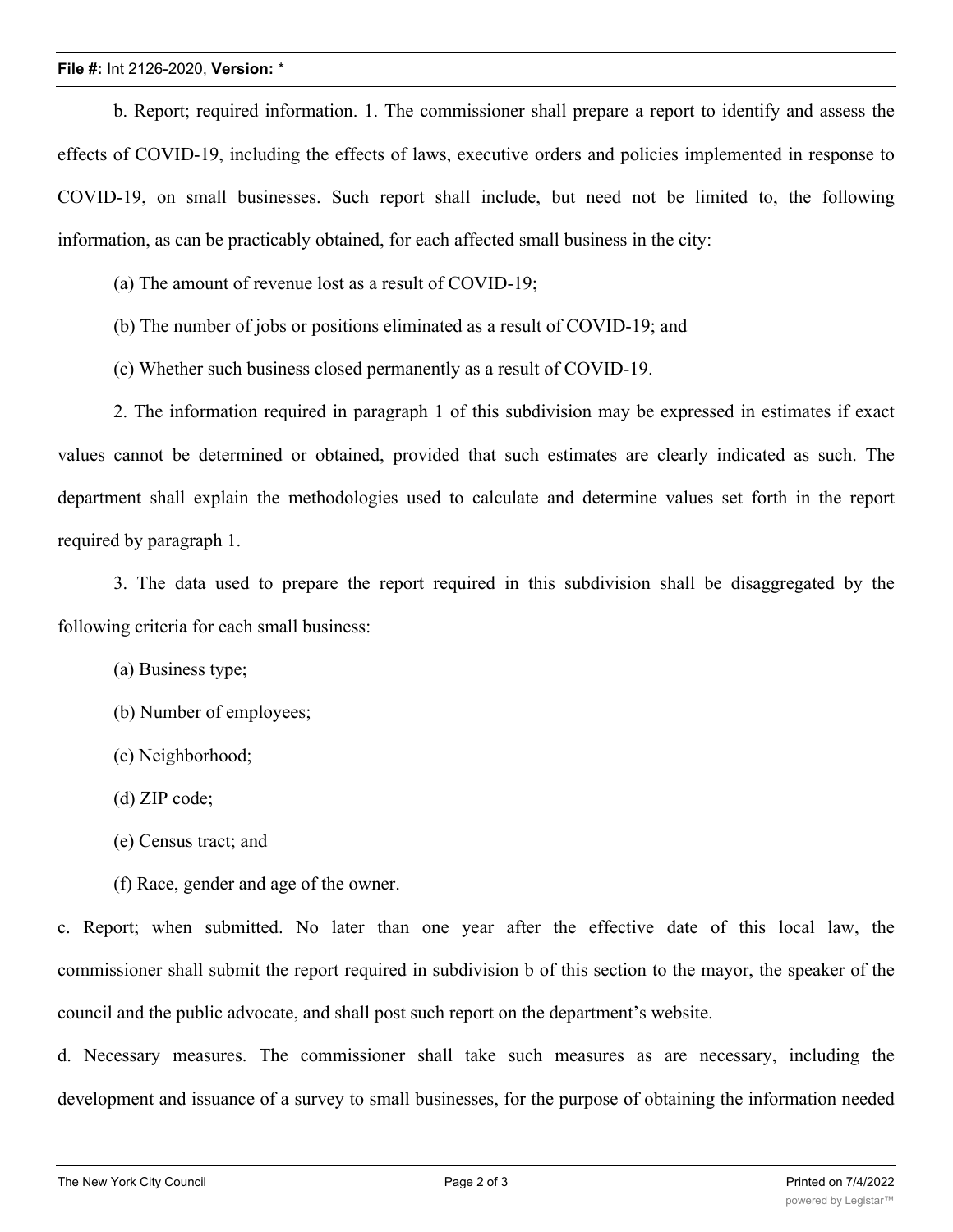## **File #:** Int 2126-2020, **Version:** \*

b. Report; required information. 1. The commissioner shall prepare a report to identify and assess the effects of COVID-19, including the effects of laws, executive orders and policies implemented in response to COVID-19, on small businesses. Such report shall include, but need not be limited to, the following information, as can be practicably obtained, for each affected small business in the city:

(a) The amount of revenue lost as a result of COVID-19;

(b) The number of jobs or positions eliminated as a result of COVID-19; and

(c) Whether such business closed permanently as a result of COVID-19.

2. The information required in paragraph 1 of this subdivision may be expressed in estimates if exact values cannot be determined or obtained, provided that such estimates are clearly indicated as such. The department shall explain the methodologies used to calculate and determine values set forth in the report required by paragraph 1.

3. The data used to prepare the report required in this subdivision shall be disaggregated by the following criteria for each small business:

(a) Business type;

(b) Number of employees;

(c) Neighborhood;

(d) ZIP code;

(e) Census tract; and

(f) Race, gender and age of the owner.

c. Report; when submitted. No later than one year after the effective date of this local law, the commissioner shall submit the report required in subdivision b of this section to the mayor, the speaker of the council and the public advocate, and shall post such report on the department's website.

d. Necessary measures. The commissioner shall take such measures as are necessary, including the development and issuance of a survey to small businesses, for the purpose of obtaining the information needed